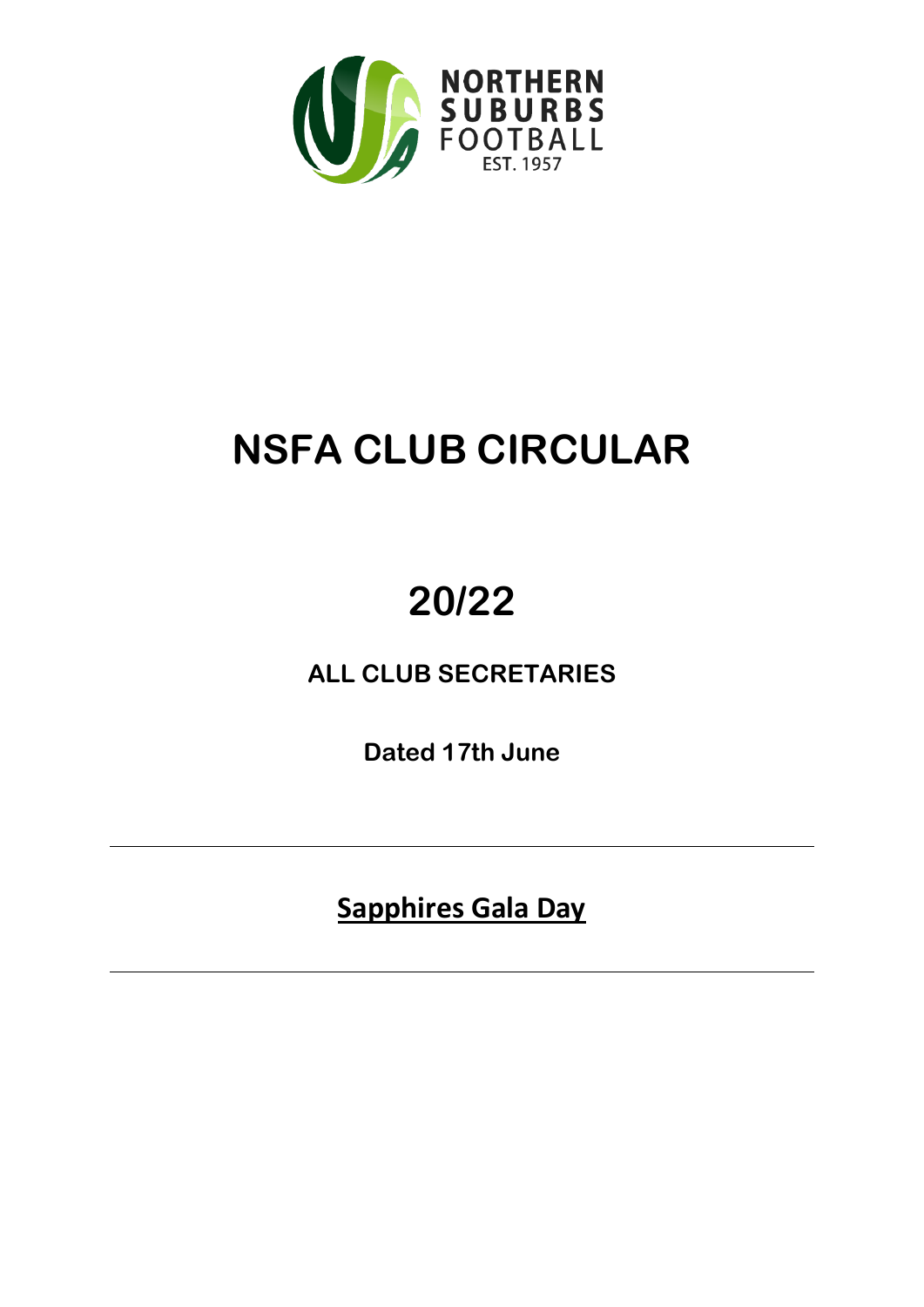

## **NSFA CLUB CIRCULAR**

# **20/22**

**ALL CLUB SECRETARIES**

**Dated 17th June**

**Sapphires Gala Day**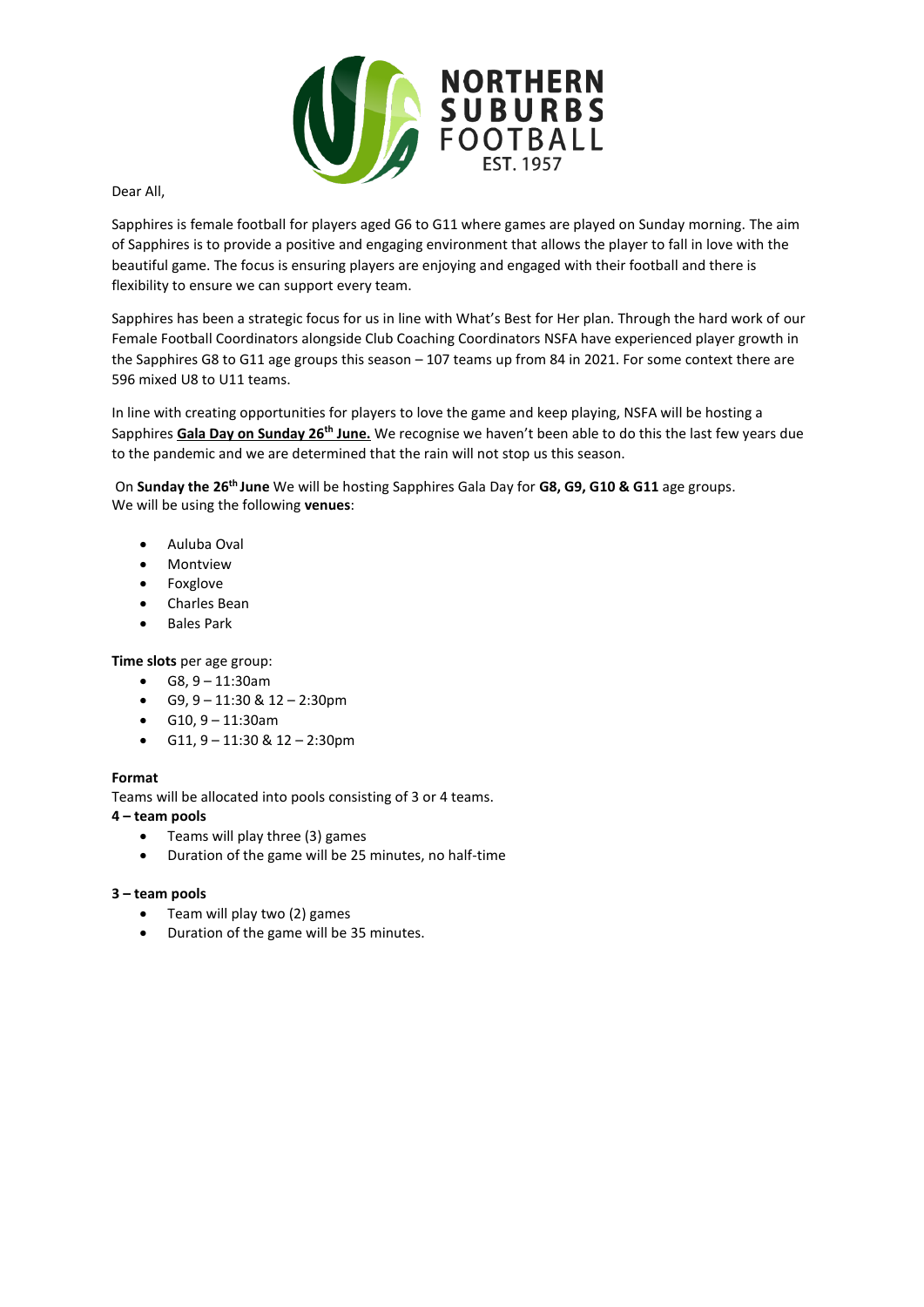

Dear All,

Sapphires is female football for players aged G6 to G11 where games are played on Sunday morning. The aim of Sapphires is to provide a positive and engaging environment that allows the player to fall in love with the beautiful game. The focus is ensuring players are enjoying and engaged with their football and there is flexibility to ensure we can support every team.

Sapphires has been a strategic focus for us in line with What's Best for Her plan. Through the hard work of our Female Football Coordinators alongside Club Coaching Coordinators NSFA have experienced player growth in the Sapphires G8 to G11 age groups this season - 107 teams up from 84 in 2021. For some context there are 596 mixed U8 to U11 teams.

In line with creating opportunities for players to love the game and keep playing, NSFA will be hosting a Sapphires **Gala Day on Sunday 26th June.** We recognise we haven't been able to do this the last few years due to the pandemic and we are determined that the rain will not stop us this season.

 On **Sunday the 26th June** We will be hosting Sapphires Gala Day for **G8, G9, G10 & G11** age groups. We will be using the following **venues**:

- Auluba Oval
- Montview
- Foxglove
- Charles Bean
- Bales Park

**Time slots** per age group:

- $GB, 9 11:30$ am
- $G9, 9 11:30 \& 12 2:30 \text{pm}$
- G10, 9 11:30am
- $G11, 9 11:30 \& 12 2:30 \text{pm}$

#### **Format**

Teams will be allocated into pools consisting of 3 or 4 teams.

#### **4 – team pools**

- Teams will play three (3) games
- Duration of the game will be 25 minutes, no half-time

#### **3 – team pools**

- Team will play two (2) games
- Duration of the game will be 35 minutes.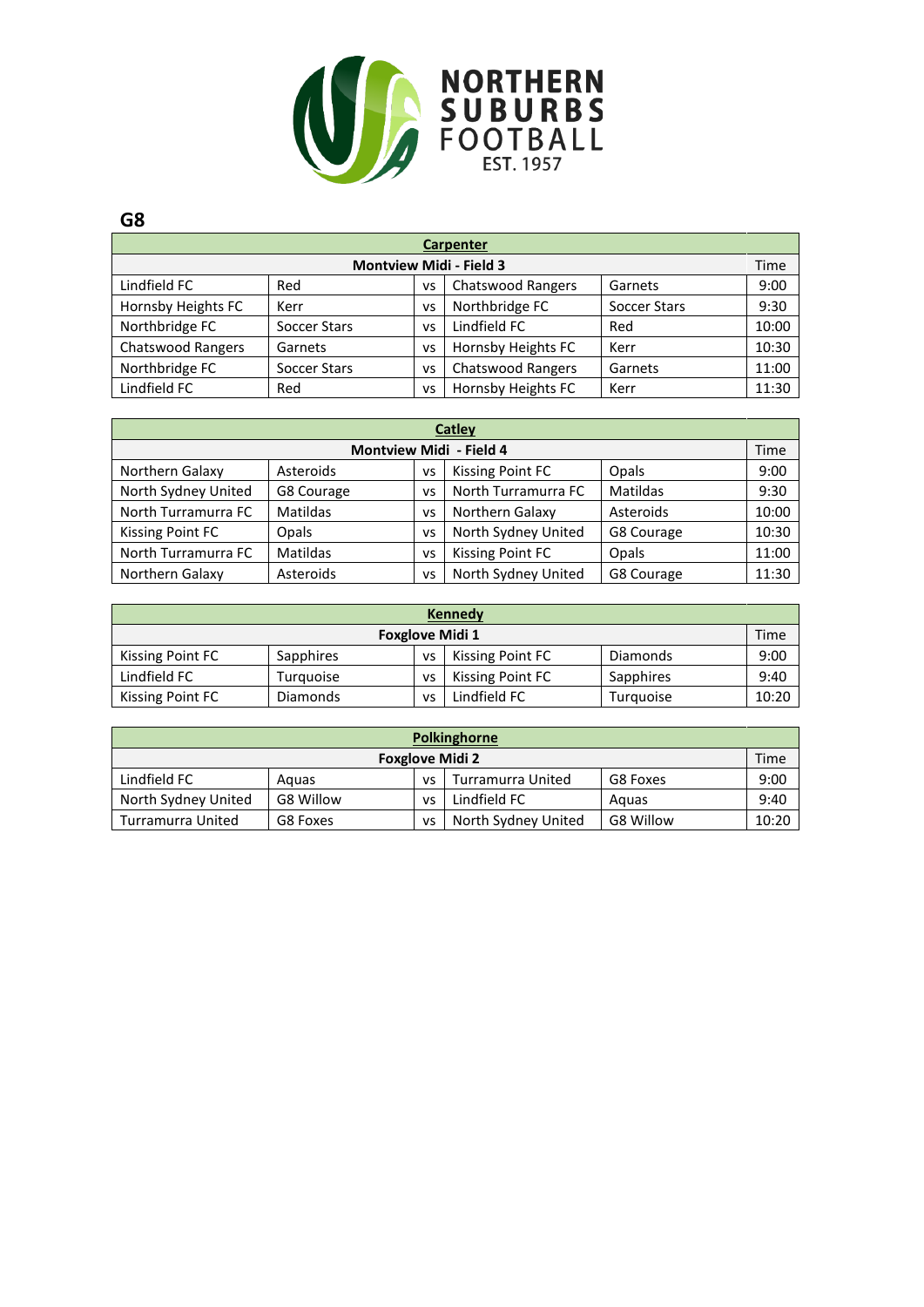

| Carpenter                      |              |       |                          |              |       |  |  |  |  |
|--------------------------------|--------------|-------|--------------------------|--------------|-------|--|--|--|--|
| <b>Montview Midi - Field 3</b> |              |       |                          |              |       |  |  |  |  |
| Lindfield FC                   | Red          | vs    | <b>Chatswood Rangers</b> | Garnets      | 9:00  |  |  |  |  |
| Hornsby Heights FC             | Kerr         | VS    | Northbridge FC           | Soccer Stars | 9:30  |  |  |  |  |
| Northbridge FC                 | Red          | 10:00 |                          |              |       |  |  |  |  |
| <b>Chatswood Rangers</b>       | Garnets      | vs    | Hornsby Heights FC       | Kerr         | 10:30 |  |  |  |  |
| Northbridge FC                 | Soccer Stars | vs    | <b>Chatswood Rangers</b> | Garnets      | 11:00 |  |  |  |  |
| Lindfield FC                   | Red          | VS    | Hornsby Heights FC       | Kerr         | 11:30 |  |  |  |  |

| <b>Catley</b>                  |            |    |                         |            |       |  |  |  |  |
|--------------------------------|------------|----|-------------------------|------------|-------|--|--|--|--|
| <b>Montview Midi - Field 4</b> |            |    |                         |            |       |  |  |  |  |
| Northern Galaxy                | Asteroids  | VS | <b>Kissing Point FC</b> | Opals      | 9:00  |  |  |  |  |
| North Sydney United            | G8 Courage | VS | North Turramurra FC     | Matildas   | 9:30  |  |  |  |  |
| North Turramurra FC            | Matildas   | VS | Northern Galaxy         | Asteroids  | 10:00 |  |  |  |  |
| <b>Kissing Point FC</b>        | Opals      | VS | North Sydney United     | G8 Courage | 10:30 |  |  |  |  |
| North Turramurra FC            | Matildas   | VS | <b>Kissing Point FC</b> | Opals      | 11:00 |  |  |  |  |
| Northern Galaxy                | Asteroids  | VS | North Sydney United     | G8 Courage | 11:30 |  |  |  |  |

| <b>Kennedy</b>                 |           |    |                  |           |       |  |  |  |  |
|--------------------------------|-----------|----|------------------|-----------|-------|--|--|--|--|
| Time<br><b>Foxglove Midi 1</b> |           |    |                  |           |       |  |  |  |  |
| Kissing Point FC               | Sapphires | VS | Kissing Point FC | Diamonds  | 9:00  |  |  |  |  |
| Lindfield FC                   | Turguoise | VS | Kissing Point FC | Sapphires | 9:40  |  |  |  |  |
| Kissing Point FC               | Diamonds  | VS | Lindfield FC     | Turquoise | 10:20 |  |  |  |  |

| Polkinghorne                                                 |           |    |                     |           |       |  |  |  |
|--------------------------------------------------------------|-----------|----|---------------------|-----------|-------|--|--|--|
| Time<br><b>Foxglove Midi 2</b>                               |           |    |                     |           |       |  |  |  |
| Lindfield FC<br>Turramurra United<br>G8 Foxes<br>Aguas<br>VS |           |    |                     |           | 9:00  |  |  |  |
| North Sydney United                                          | G8 Willow | vs | Lindfield FC        | Aguas     | 9:40  |  |  |  |
| Turramurra United                                            | G8 Foxes  | vs | North Sydney United | G8 Willow | 10:20 |  |  |  |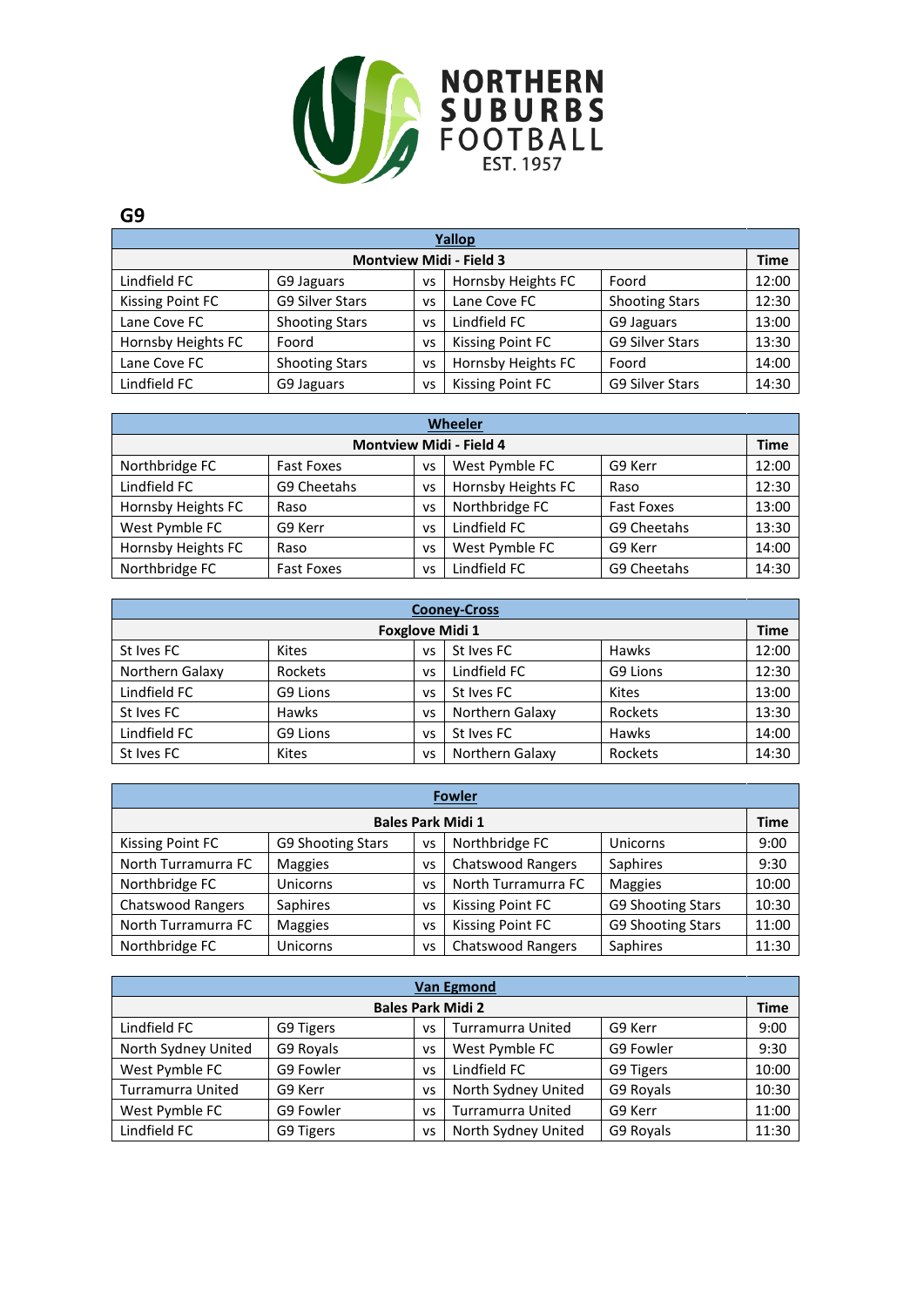

| Yallop                         |                        |    |                         |                        |       |  |  |  |
|--------------------------------|------------------------|----|-------------------------|------------------------|-------|--|--|--|
| <b>Montview Midi - Field 3</b> |                        |    |                         |                        |       |  |  |  |
| Lindfield FC                   | G9 Jaguars             | VS | Hornsby Heights FC      | Foord                  | 12:00 |  |  |  |
| <b>Kissing Point FC</b>        | <b>G9 Silver Stars</b> | VS | Lane Cove FC            | <b>Shooting Stars</b>  | 12:30 |  |  |  |
| Lane Cove FC                   | <b>Shooting Stars</b>  | vs | Lindfield FC            | G9 Jaguars             | 13:00 |  |  |  |
| Hornsby Heights FC             | Foord                  | VS | <b>Kissing Point FC</b> | <b>G9 Silver Stars</b> | 13:30 |  |  |  |
| Lane Cove FC                   | <b>Shooting Stars</b>  | VS | Hornsby Heights FC      | Foord                  | 14:00 |  |  |  |
| Lindfield FC                   | G9 Jaguars             | vs | <b>Kissing Point FC</b> | <b>G9 Silver Stars</b> | 14:30 |  |  |  |

| <b>Wheeler</b>                 |                   |    |                    |                   |       |  |  |  |
|--------------------------------|-------------------|----|--------------------|-------------------|-------|--|--|--|
| <b>Montview Midi - Field 4</b> |                   |    |                    |                   |       |  |  |  |
| Northbridge FC                 | <b>Fast Foxes</b> | VS | West Pymble FC     | G9 Kerr           | 12:00 |  |  |  |
| Lindfield FC                   | G9 Cheetahs       | VS | Hornsby Heights FC | Raso              | 12:30 |  |  |  |
| Hornsby Heights FC             | Raso              | VS | Northbridge FC     | <b>Fast Foxes</b> | 13:00 |  |  |  |
| West Pymble FC                 | G9 Kerr           | VS | Lindfield FC       | G9 Cheetahs       | 13:30 |  |  |  |
| Hornsby Heights FC             | Raso              | VS | West Pymble FC     | G9 Kerr           | 14:00 |  |  |  |
| Northbridge FC                 | <b>Fast Foxes</b> | VS | Lindfield FC       | G9 Cheetahs       | 14:30 |  |  |  |

| <b>Cooney-Cross</b>    |              |    |                 |              |       |  |  |  |
|------------------------|--------------|----|-----------------|--------------|-------|--|--|--|
| <b>Foxglove Midi 1</b> |              |    |                 |              |       |  |  |  |
| St Ives FC             | <b>Kites</b> | VS | St Ives FC      | Hawks        | 12:00 |  |  |  |
| Northern Galaxy        | Rockets      | vs | Lindfield FC    | G9 Lions     | 12:30 |  |  |  |
| Lindfield FC           | G9 Lions     | vs | St Ives FC      | <b>Kites</b> | 13:00 |  |  |  |
| St Ives FC             | Hawks        | VS | Northern Galaxy | Rockets      | 13:30 |  |  |  |
| Lindfield FC           | G9 Lions     | VS | St Ives FC      | Hawks        | 14:00 |  |  |  |
| St Ives FC             | Kites        | VS | Northern Galaxy | Rockets      | 14:30 |  |  |  |

| <b>Fowler</b>            |                   |           |                          |                   |       |  |  |  |
|--------------------------|-------------------|-----------|--------------------------|-------------------|-------|--|--|--|
| <b>Bales Park Midi 1</b> |                   |           |                          |                   |       |  |  |  |
| Kissing Point FC         | G9 Shooting Stars | VS        | Northbridge FC           | Unicorns          | 9:00  |  |  |  |
| North Turramurra FC      | Maggies           | VS        | <b>Chatswood Rangers</b> | Saphires          | 9:30  |  |  |  |
| Northbridge FC           | Unicorns          | VS        | North Turramurra FC      | <b>Maggies</b>    | 10:00 |  |  |  |
| <b>Chatswood Rangers</b> | Saphires          | VS        | <b>Kissing Point FC</b>  | G9 Shooting Stars | 10:30 |  |  |  |
| North Turramurra FC      | Maggies           | VS        | <b>Kissing Point FC</b>  | G9 Shooting Stars | 11:00 |  |  |  |
| Northbridge FC           | Unicorns          | <b>VS</b> | <b>Chatswood Rangers</b> | Saphires          | 11:30 |  |  |  |

| <b>Van Egmond</b>        |           |    |                          |           |       |  |  |  |
|--------------------------|-----------|----|--------------------------|-----------|-------|--|--|--|
| <b>Bales Park Midi 2</b> |           |    |                          |           |       |  |  |  |
| Lindfield FC             | G9 Tigers | VS | <b>Turramurra United</b> | G9 Kerr   | 9:00  |  |  |  |
| North Sydney United      | G9 Royals | VS | West Pymble FC           | G9 Fowler | 9:30  |  |  |  |
| West Pymble FC           | G9 Fowler | VS | Lindfield FC             | G9 Tigers | 10:00 |  |  |  |
| <b>Turramurra United</b> | G9 Kerr   | VS | North Sydney United      | G9 Royals | 10:30 |  |  |  |
| West Pymble FC           | G9 Fowler | VS | <b>Turramurra United</b> | G9 Kerr   | 11:00 |  |  |  |
| Lindfield FC             | G9 Tigers | VS | North Sydney United      | G9 Royals | 11:30 |  |  |  |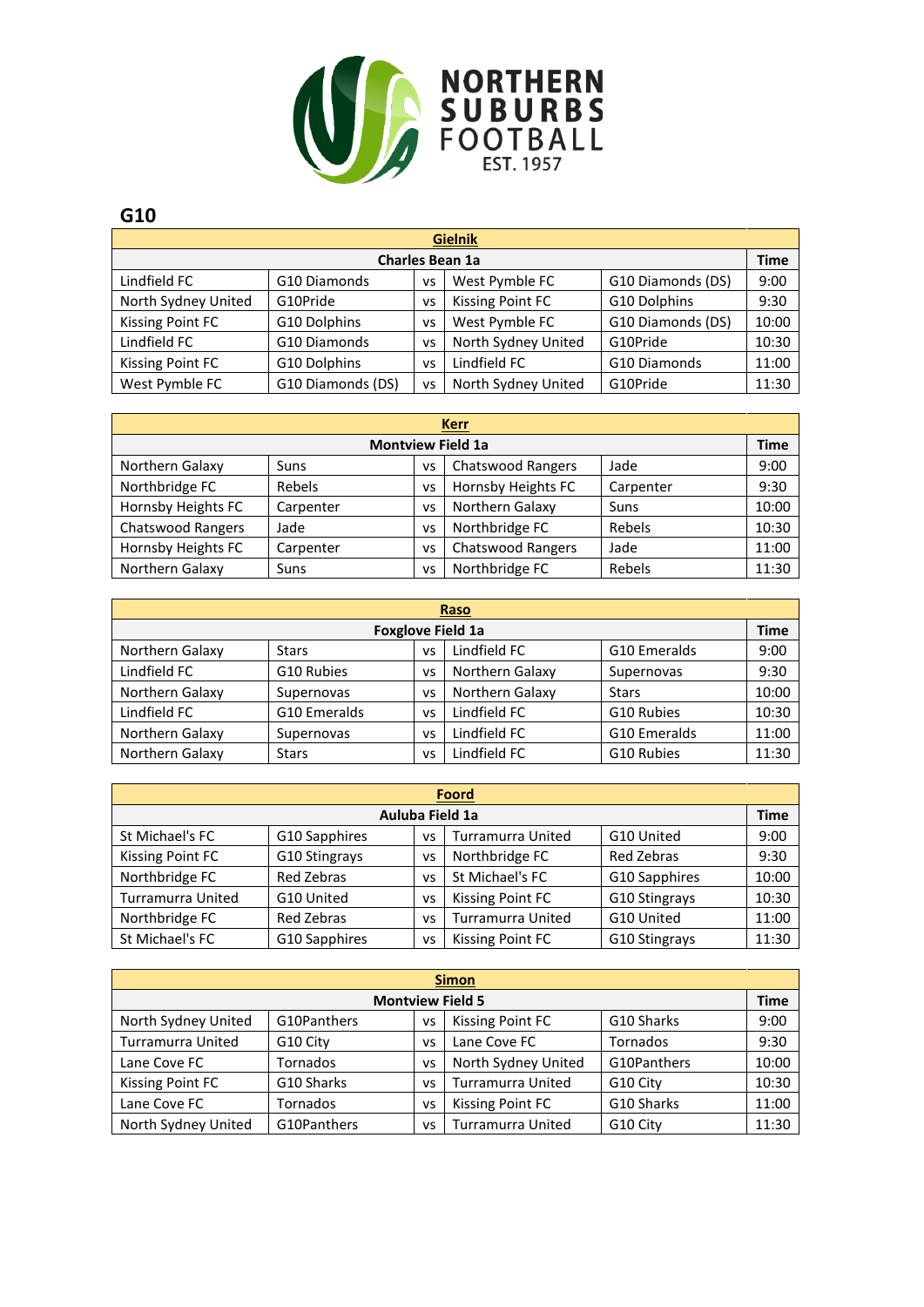

| <b>Gielnik</b>          |                   |    |                         |                   |       |  |  |  |  |
|-------------------------|-------------------|----|-------------------------|-------------------|-------|--|--|--|--|
| <b>Charles Bean 1a</b>  |                   |    |                         |                   |       |  |  |  |  |
| Lindfield FC            | G10 Diamonds      | VS | West Pymble FC          | G10 Diamonds (DS) | 9:00  |  |  |  |  |
| North Sydney United     | G10Pride          | VS | <b>Kissing Point FC</b> | G10 Dolphins      | 9:30  |  |  |  |  |
| <b>Kissing Point FC</b> | G10 Dolphins      | vs | West Pymble FC          | G10 Diamonds (DS) | 10:00 |  |  |  |  |
| Lindfield FC            | G10 Diamonds      | vs | North Sydney United     | G10Pride          | 10:30 |  |  |  |  |
| Kissing Point FC        | G10 Dolphins      | vs | Lindfield FC            | G10 Diamonds      | 11:00 |  |  |  |  |
| West Pymble FC          | G10 Diamonds (DS) | VS | North Sydney United     | G10Pride          | 11:30 |  |  |  |  |

| <b>Kerr</b>              |           |    |                          |           |       |  |  |  |
|--------------------------|-----------|----|--------------------------|-----------|-------|--|--|--|
| <b>Montview Field 1a</b> |           |    |                          |           |       |  |  |  |
| Northern Galaxy          | Suns      | VS | <b>Chatswood Rangers</b> | Jade      | 9:00  |  |  |  |
| Northbridge FC           | Rebels    | VS | Hornsby Heights FC       | Carpenter | 9:30  |  |  |  |
| Hornsby Heights FC       | Carpenter | VS | Northern Galaxy          | Suns      | 10:00 |  |  |  |
| <b>Chatswood Rangers</b> | Jade      | VS | Northbridge FC           | Rebels    | 10:30 |  |  |  |
| Hornsby Heights FC       | Carpenter | vs | <b>Chatswood Rangers</b> | Jade      | 11:00 |  |  |  |
| Northern Galaxy          | Suns      | VS | Northbridge FC           | Rebels    | 11:30 |  |  |  |

| Raso                     |              |    |                 |              |       |  |  |  |  |
|--------------------------|--------------|----|-----------------|--------------|-------|--|--|--|--|
| <b>Foxglove Field 1a</b> |              |    |                 |              |       |  |  |  |  |
| Northern Galaxy          | <b>Stars</b> | VS | Lindfield FC    | G10 Emeralds | 9:00  |  |  |  |  |
| Lindfield FC             | G10 Rubies   | VS | Northern Galaxy | Supernovas   | 9:30  |  |  |  |  |
| Northern Galaxy          | Supernovas   | VS | Northern Galaxy | <b>Stars</b> | 10:00 |  |  |  |  |
| Lindfield FC             | G10 Emeralds | VS | Lindfield FC    | G10 Rubies   | 10:30 |  |  |  |  |
| Northern Galaxy          | Supernovas   | VS | Lindfield FC    | G10 Emeralds | 11:00 |  |  |  |  |
| Northern Galaxy          | <b>Stars</b> | VS | Lindfield FC    | G10 Rubies   | 11:30 |  |  |  |  |

| <b>Foord</b>                                                                       |                                                     |  |  |  |       |  |  |
|------------------------------------------------------------------------------------|-----------------------------------------------------|--|--|--|-------|--|--|
| Auluba Field 1a                                                                    |                                                     |  |  |  |       |  |  |
| St Michael's FC<br>G10 Sapphires<br><b>Turramurra United</b><br>G10 United<br>VS   |                                                     |  |  |  |       |  |  |
| Kissing Point FC                                                                   | Northbridge FC<br>Red Zebras<br>G10 Stingrays<br>VS |  |  |  | 9:30  |  |  |
| St Michael's FC<br>Northbridge FC<br>Red Zebras<br>G10 Sapphires<br>VS             |                                                     |  |  |  |       |  |  |
| Turramurra United<br>Kissing Point FC<br>G10 United<br>G10 Stingrays<br>vs         |                                                     |  |  |  |       |  |  |
| Northbridge FC<br><b>Turramurra United</b><br>Red Zebras<br>G10 United<br>VS       |                                                     |  |  |  | 11:00 |  |  |
| St Michael's FC<br>G10 Sapphires<br><b>Kissing Point FC</b><br>G10 Stingrays<br>VS |                                                     |  |  |  |       |  |  |

| <b>Simon</b>                                                                      |            |    |                          |            |       |  |  |
|-----------------------------------------------------------------------------------|------------|----|--------------------------|------------|-------|--|--|
| <b>Montview Field 5</b>                                                           |            |    |                          |            |       |  |  |
| G10Panthers<br>G10 Sharks<br><b>Kissing Point FC</b><br>North Sydney United<br>VS |            |    |                          |            |       |  |  |
| <b>Turramurra United</b>                                                          | G10 City   | VS | Lane Cove FC             | Tornados   | 9:30  |  |  |
| G10Panthers<br>North Sydney United<br>Tornados<br>Lane Cove FC<br>VS              |            |    |                          |            |       |  |  |
| Kissing Point FC                                                                  | G10 Sharks | VS | <b>Turramurra United</b> | G10 City   | 10:30 |  |  |
| Lane Cove FC                                                                      | Tornados   | vs | <b>Kissing Point FC</b>  | G10 Sharks | 11:00 |  |  |
| G10Panthers<br>North Sydney United<br><b>Turramurra United</b><br>G10 City<br>vs  |            |    |                          |            |       |  |  |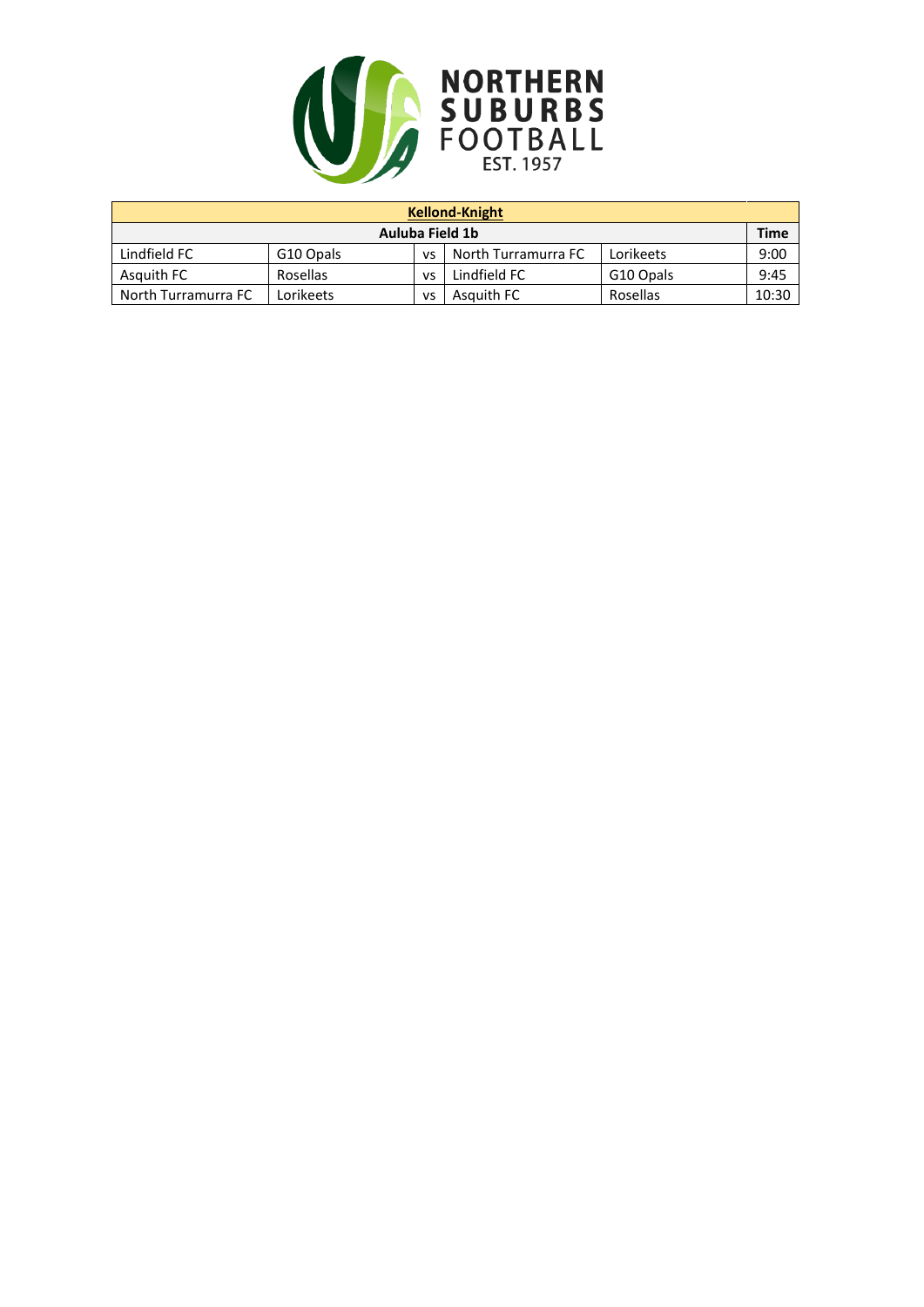

| <b>Kellond-Knight</b>                                                      |           |    |            |          |       |  |
|----------------------------------------------------------------------------|-----------|----|------------|----------|-------|--|
| Auluba Field 1b                                                            |           |    |            |          |       |  |
| Lindfield FC<br>North Turramurra FC<br>G10 Opals<br>Lorikeets<br><b>VS</b> |           |    |            |          |       |  |
| Lindfield FC<br>Asquith FC<br>Rosellas<br>G10 Opals<br>VS                  |           |    |            |          | 9:45  |  |
| North Turramurra FC                                                        | Lorikeets | VS | Asquith FC | Rosellas | 10:30 |  |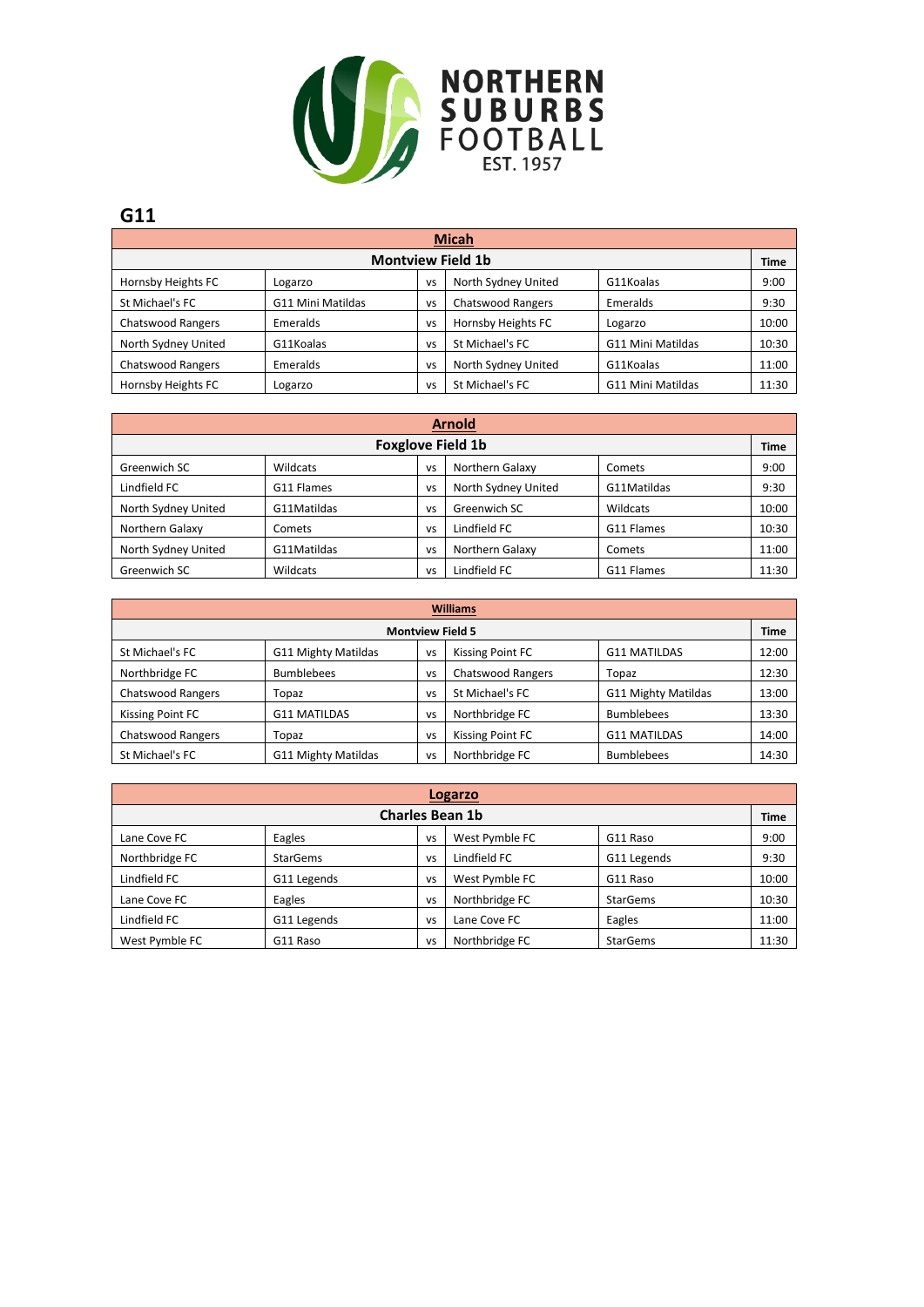

| <b>Micah</b>                                                                |                   |           |                          |                          |       |  |
|-----------------------------------------------------------------------------|-------------------|-----------|--------------------------|--------------------------|-------|--|
| <b>Montview Field 1b</b>                                                    |                   |           |                          |                          |       |  |
| North Sydney United<br>Hornsby Heights FC<br>G11Koalas<br>Logarzo<br>VS     |                   |           |                          |                          |       |  |
| St Michael's FC                                                             | G11 Mini Matildas | VS        | <b>Chatswood Rangers</b> | Emeralds                 | 9:30  |  |
| Hornsby Heights FC<br><b>Chatswood Rangers</b><br>Emeralds<br>Logarzo<br>VS |                   |           |                          |                          |       |  |
| North Sydney United                                                         | G11Koalas         | VS        | St Michael's FC          | <b>G11 Mini Matildas</b> | 10:30 |  |
| <b>Chatswood Rangers</b>                                                    | Emeralds          | <b>VS</b> | North Sydney United      | G11Koalas                | 11:00 |  |
| Hornsby Heights FC                                                          | Logarzo           | VS        | St Michael's FC          | <b>G11 Mini Matildas</b> | 11:30 |  |

| <b>Arnold</b>                                                               |                                              |           |                     |             |       |  |  |  |
|-----------------------------------------------------------------------------|----------------------------------------------|-----------|---------------------|-------------|-------|--|--|--|
| <b>Foxglove Field 1b</b>                                                    |                                              |           |                     |             |       |  |  |  |
| Northern Galaxy<br>Greenwich SC<br>Wildcats<br>Comets<br>VS                 |                                              |           |                     |             |       |  |  |  |
| Lindfield FC                                                                | G11 Flames                                   | VS        | North Sydney United | G11Matildas | 9:30  |  |  |  |
| North Sydney United<br>G11Matildas<br>Greenwich SC<br>Wildcats<br><b>VS</b> |                                              |           |                     |             |       |  |  |  |
| Northern Galaxy                                                             | Comets                                       | <b>VS</b> | Lindfield FC        | G11 Flames  | 10:30 |  |  |  |
| North Sydney United                                                         | G11Matildas                                  | VS        | Northern Galaxy     | Comets      | 11:00 |  |  |  |
| Greenwich SC                                                                | Lindfield FC<br>Wildcats<br>G11 Flames<br>VS |           |                     |             |       |  |  |  |

| <b>Williams</b>                                                                            |                     |           |                          |                     |       |  |
|--------------------------------------------------------------------------------------------|---------------------|-----------|--------------------------|---------------------|-------|--|
| <b>Montview Field 5</b>                                                                    |                     |           |                          |                     |       |  |
| St Michael's FC<br>G11 Mighty Matildas<br>Kissing Point FC<br><b>G11 MATILDAS</b><br>vs    |                     |           |                          |                     |       |  |
| Northbridge FC                                                                             | <b>Bumblebees</b>   | VS        | <b>Chatswood Rangers</b> | Topaz               | 12:30 |  |
| G11 Mighty Matildas<br><b>Chatswood Rangers</b><br>St Michael's FC<br>Topaz<br>VS          |                     |           |                          |                     |       |  |
| Kissing Point FC                                                                           | <b>G11 MATILDAS</b> | vs        | Northbridge FC           | <b>Bumblebees</b>   | 13:30 |  |
| <b>Chatswood Rangers</b>                                                                   | Topaz               | <b>VS</b> | Kissing Point FC         | <b>G11 MATILDAS</b> | 14:00 |  |
| St Michael's FC<br>Northbridge FC<br>G11 Mighty Matildas<br><b>Bumblebees</b><br><b>VS</b> |                     |           |                          |                     |       |  |

| Logarzo                                                    |                                                     |           |                |                 |       |  |  |  |
|------------------------------------------------------------|-----------------------------------------------------|-----------|----------------|-----------------|-------|--|--|--|
| <b>Charles Bean 1b</b>                                     |                                                     |           |                |                 |       |  |  |  |
| West Pymble FC<br>Lane Cove FC<br>Eagles<br>G11 Raso<br>VS |                                                     |           |                |                 |       |  |  |  |
| Northbridge FC                                             | <b>StarGems</b>                                     | VS        | Lindfield FC   | G11 Legends     | 9:30  |  |  |  |
| Lindfield FC                                               | G11 Legends                                         | VS        | West Pymble FC | G11 Raso        | 10:00 |  |  |  |
| Lane Cove FC                                               | Eagles                                              | VS        | Northbridge FC | <b>StarGems</b> | 10:30 |  |  |  |
| Lindfield FC                                               | G11 Legends                                         | <b>VS</b> | Lane Cove FC   | Eagles          | 11:00 |  |  |  |
| West Pymble FC                                             | Northbridge FC<br>G11 Raso<br><b>StarGems</b><br>VS |           |                |                 |       |  |  |  |